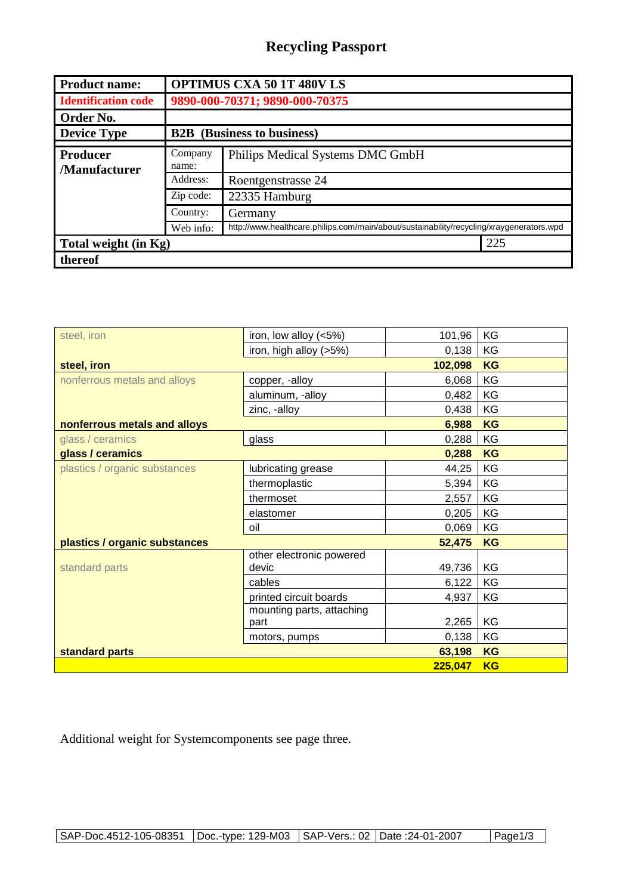## **Recycling Passport**

| <b>Product name:</b>                   | <b>OPTIMUS CXA 50 1T 480V LS</b>  |                                                                                          |  |  |
|----------------------------------------|-----------------------------------|------------------------------------------------------------------------------------------|--|--|
| <b>Identification code</b>             | 9890-000-70371; 9890-000-70375    |                                                                                          |  |  |
| Order No.                              |                                   |                                                                                          |  |  |
| <b>Device Type</b>                     | <b>B2B</b> (Business to business) |                                                                                          |  |  |
| <b>Producer</b><br><b>Manufacturer</b> | Company<br>name:                  | Philips Medical Systems DMC GmbH                                                         |  |  |
|                                        | Address:                          | Roentgenstrasse 24                                                                       |  |  |
|                                        | Zip code:                         | 22335 Hamburg                                                                            |  |  |
|                                        | Country:                          | Germany                                                                                  |  |  |
|                                        | Web info:                         | http://www.healthcare.philips.com/main/about/sustainability/recycling/xraygenerators.wpd |  |  |
| Total weight (in Kg)                   |                                   | 225                                                                                      |  |  |
| thereof                                |                                   |                                                                                          |  |  |

| steel, iron                   | iron, low alloy (<5%)     | 101,96    | KG        |
|-------------------------------|---------------------------|-----------|-----------|
|                               | iron, high alloy (>5%)    | 0,138     | KG        |
| steel, iron                   |                           | 102,098   | <b>KG</b> |
| nonferrous metals and alloys  | copper, -alloy            | 6,068     | KG        |
|                               | aluminum, -alloy          | 0,482     | KG        |
|                               | zinc, -alloy              | 0,438     | KG        |
| nonferrous metals and alloys  | 6,988                     | <b>KG</b> |           |
| glass / ceramics              | glass                     | 0,288     | KG        |
| glass / ceramics              |                           | 0,288     | <b>KG</b> |
| plastics / organic substances | lubricating grease        | 44,25     | KG        |
|                               | thermoplastic             | 5,394     | KG        |
|                               | thermoset                 | 2,557     | KG        |
|                               | elastomer                 | 0,205     | KG        |
|                               | oil                       | 0,069     | KG        |
| plastics / organic substances |                           | 52,475    | <b>KG</b> |
|                               | other electronic powered  |           |           |
| standard parts                | devic                     | 49,736    | KG        |
|                               | cables                    | 6,122     | KG        |
|                               | printed circuit boards    | 4,937     | KG        |
|                               | mounting parts, attaching |           |           |
|                               | part                      | 2,265     | KG        |
|                               | motors, pumps             | 0,138     | KG        |
| standard parts                | 63,198                    | <b>KG</b> |           |
|                               |                           | 225,047   | <b>KG</b> |

Additional weight for Systemcomponents see page three.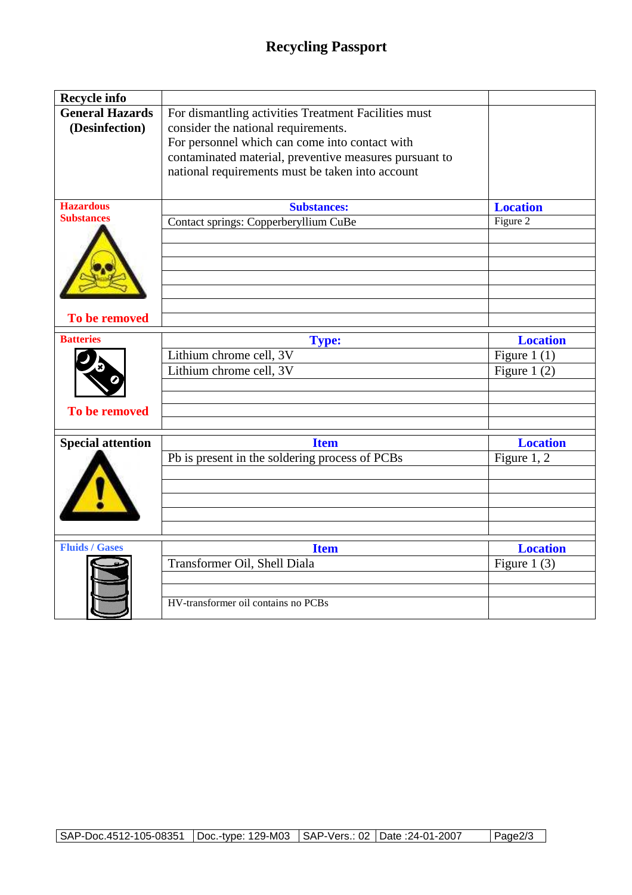| <b>Recycle info</b>                      |                                                                                                                                                                                                                                                             |                                                     |
|------------------------------------------|-------------------------------------------------------------------------------------------------------------------------------------------------------------------------------------------------------------------------------------------------------------|-----------------------------------------------------|
| <b>General Hazards</b><br>(Desinfection) | For dismantling activities Treatment Facilities must<br>consider the national requirements.<br>For personnel which can come into contact with<br>contaminated material, preventive measures pursuant to<br>national requirements must be taken into account |                                                     |
| <b>Hazardous</b><br><b>Substances</b>    | <b>Substances:</b>                                                                                                                                                                                                                                          | <b>Location</b>                                     |
| To be removed                            | Contact springs: Copperberyllium CuBe                                                                                                                                                                                                                       | Figure 2                                            |
|                                          |                                                                                                                                                                                                                                                             |                                                     |
| <b>Batteries</b><br>To be removed        | <b>Type:</b><br>Lithium chrome cell, 3V<br>Lithium chrome cell, 3V                                                                                                                                                                                          | <b>Location</b><br>Figure 1 $(1)$<br>Figure 1 $(2)$ |
|                                          | <b>Item</b>                                                                                                                                                                                                                                                 | <b>Location</b>                                     |
| <b>Special attention</b>                 | Pb is present in the soldering process of PCBs                                                                                                                                                                                                              | Figure 1, 2                                         |
| <b>Fluids / Gases</b>                    | <b>Item</b>                                                                                                                                                                                                                                                 | <b>Location</b>                                     |
|                                          |                                                                                                                                                                                                                                                             |                                                     |
|                                          | Transformer Oil, Shell Diala<br>HV-transformer oil contains no PCBs                                                                                                                                                                                         | Figure 1 $(3)$                                      |